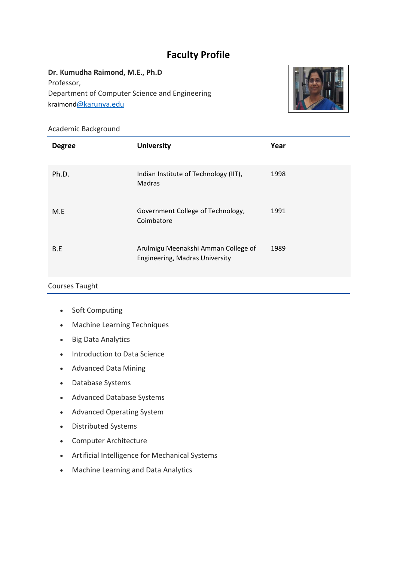# **Faculty Profile**

# **Dr. Kumudha Raimond, M.E., Ph.D** Professor, Department of Computer Science and Engineering kraimond[@karunya.edu](mailto:sujitha@karunya.edu)



## Academic Background

| <b>Degree</b> | <b>University</b>                                                     | Year |
|---------------|-----------------------------------------------------------------------|------|
| Ph.D.         | Indian Institute of Technology (IIT),<br>Madras                       | 1998 |
| M.E           | Government College of Technology,<br>Coimbatore                       | 1991 |
| B.E           | Arulmigu Meenakshi Amman College of<br>Engineering, Madras University | 1989 |

# Courses Taught

- Soft Computing
- Machine Learning Techniques
- Big Data Analytics
- Introduction to Data Science
- Advanced Data Mining
- Database Systems
- Advanced Database Systems
- Advanced Operating System
- Distributed Systems
- Computer Architecture
- Artificial Intelligence for Mechanical Systems
- Machine Learning and Data Analytics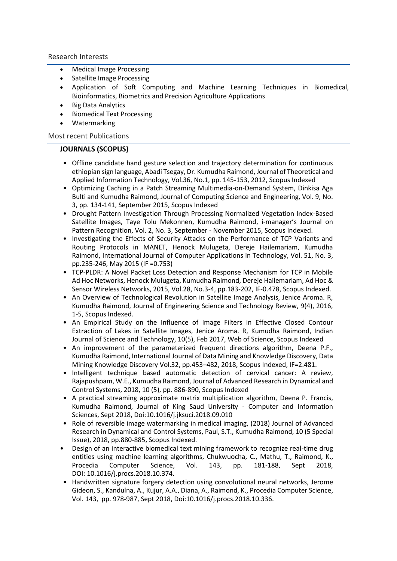Research Interests

- Medical Image Processing
- Satellite Image Processing
- Application of Soft Computing and Machine Learning Techniques in Biomedical, Bioinformatics, Biometrics and Precision Agriculture Applications
- Big Data Analytics
- Biomedical Text Processing
- Watermarking

Most recent Publications

#### **JOURNALS (SCOPUS)**

- Offline candidate hand gesture selection and trajectory determination for continuous ethiopian sign language, Abadi Tsegay, Dr. Kumudha Raimond, Journal of Theoretical and Applied Information Technology, Vol.36, No.1, pp. 145-153, 2012, Scopus Indexed
- Optimizing Caching in a Patch Streaming Multimedia-on-Demand System, Dinkisa Aga Bulti and Kumudha Raimond, Journal of Computing Science and Engineering, Vol. 9, No. 3, pp. 134-141, September 2015, Scopus Indexed
- Drought Pattern Investigation Through Processing Normalized Vegetation Index-Based Satellite Images, Taye Tolu Mekonnen, Kumudha Raimond, i-manager's Journal on Pattern Recognition, Vol. 2, No. 3, September - November 2015, Scopus Indexed.
- Investigating the Effects of Security Attacks on the Performance of TCP Variants and Routing Protocols in MANET, Henock Mulugeta, Dereje Hailemariam, Kumudha Raimond, International Journal of Computer Applications in Technology, Vol. 51, No. 3, pp.235-246, May 2015 (IF =0.753)
- TCP-PLDR: A Novel Packet Loss Detection and Response Mechanism for TCP in Mobile Ad Hoc Networks, Henock Mulugeta, Kumudha Raimond, Dereje Hailemariam, Ad Hoc & Sensor Wireless Networks, 2015, Vol.28, No.3-4, pp.183-202, IF-0.478, Scopus Indexed.
- An Overview of Technological Revolution in Satellite Image Analysis, Jenice Aroma. R, Kumudha Raimond, Journal of Engineering Science and Technology Review, 9(4), 2016, 1-5, Scopus Indexed.
- [An Empirical Study on the Influence of Image Filters in Effective Closed Contour](http://www.indjst.org/index.php/indjst/article/view/108822)  [Extraction of Lakes in](http://www.indjst.org/index.php/indjst/article/view/108822) [Satellite Images, J](http://www.indjst.org/index.php/indjst/article/view/108822)enice Aroma. R, Kumudha Raimond, Indian Journal of Science and Technology, 10(5), Feb 2017, Web of Science, Scopus Indexed
- An improvement of the parameterized frequent directions algorithm, Deena P.F., Kumudha Raimond, International Journal of Data Mining and Knowledge Discovery, Data Mining Knowledge Discovery Vol.32, pp.453–482, 2018, Scopus Indexed, IF=2.481.
- Intelligent technique based automatic detection of cervical cancer: A review, Rajapushpam, W.E., Kumudha Raimond, Journal of Advanced Research in Dynamical and Control Systems, 2018, 10 (5), pp. 886-890, Scopus Indexed
- A practical streaming approximate matrix multiplication algorithm, [Deena P. Francis,](https://www.sciencedirect.com/science/article/pii/S1319157818306396?via%3Dihub#!) [Kumudha Raimond,](https://www.sciencedirect.com/science/article/pii/S1319157818306396?via%3Dihub#!) [Journal of King Saud University -](https://www.scopus.com/sourceid/21100389724?origin=resultslist) Computer and Information [Sciences,](https://www.scopus.com/sourceid/21100389724?origin=resultslist) Sept 2018, Doi[:10.1016/j.jksuci.2018.09.010](https://doi.org/10.1016/j.jksuci.2018.09.010)
- Role of reversible image watermarking in medical imaging, (2018) Journal of Advanced Research in Dynamical and Control Systems, Paul, S.T., Kumudha Raimond, 10 (5 Special Issue), 2018, pp.880-885, Scopus Indexed.
- Design of an interactive biomedical text mining framework to recognize real-time drug entities using machine learning algorithms, [Chukwuocha, C.,](https://www.scopus.com/authid/detail.uri?authorId=57205023056&eid=2-s2.0-85058335716) [Mathu, T.,](https://www.scopus.com/authid/detail.uri?authorId=46161495000&eid=2-s2.0-85058335716) [Raimond, K.,](https://www.scopus.com/authid/detail.uri?authorId=24776550700&eid=2-s2.0-85058335716) [Procedia Computer Science,](https://www.scopus.com/sourceid/19700182801?origin=recordpage) Vol. 143, pp. 181-188, Sept 2018, DOI: 10.1016/j.procs.2018.10.374.
- Handwritten signature forgery detection using convolutional neural networks, [Jerome](https://www.scopus.com/authid/detail.uri?authorId=57205019107&eid=2-s2.0-85058311839)  [Gideon, S.](https://www.scopus.com/authid/detail.uri?authorId=57205019107&eid=2-s2.0-85058311839)[, Kandulna, A.,](mailto:sjeromegideon@karunya.edu.in) [Kujur, A.A.,](https://www.scopus.com/authid/detail.uri?authorId=57205026219&eid=2-s2.0-85058311839) [Diana, A.,](https://www.scopus.com/authid/detail.uri?authorId=57205021041&eid=2-s2.0-85058311839) [Raimond, K.,](https://www.scopus.com/authid/detail.uri?authorId=24776550700&eid=2-s2.0-85058311839) [Procedia Computer Science,](https://www.scopus.com/sourceid/19700182801?origin=recordpage) Vol. 143, pp. 978-987, Sept 2018, Doi:10.1016/j.procs.2018.10.336.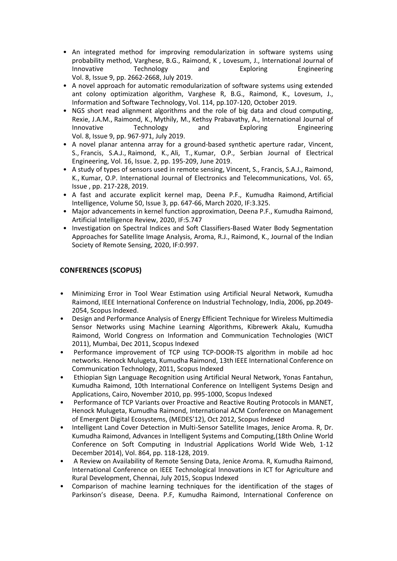- An integrated method for improving remodularization in software systems using probability method, [Varghese, B.G.,](https://www.scopus.com/authid/detail.uri?authorId=57211345719&eid=2-s2.0-85073577363) [Raimond, K ,](https://www.scopus.com/authid/detail.uri?authorId=24776550700&eid=2-s2.0-85073577363) [Lovesum, J.,](https://www.scopus.com/authid/detail.uri?authorId=57209497347&eid=2-s2.0-85073577363) [International Journal of](https://www.scopus.com/sourceid/21100889409?origin=recordpage)  [Innovative Technology and Exploring Engineering](https://www.scopus.com/sourceid/21100889409?origin=recordpage) Vol. 8, Issue 9, pp. 2662-2668, July 2019.
- A novel approach for automatic remodularization of software systems using extended ant colony optimization algorithm, [Varghese R, B.G.,](https://www.scopus.com/authid/detail.uri?authorId=57209509913&eid=2-s2.0-85067954922) [Raimond, K.,](https://www.scopus.com/authid/detail.uri?authorId=24776550700&eid=2-s2.0-85067954922) [Lovesum, J.,](https://www.scopus.com/authid/detail.uri?authorId=57209497347&eid=2-s2.0-85067954922) I[nformation and Software Technology,](https://www.scopus.com/sourceid/18732?origin=recordpage) Vol. 114, pp.107-120, October 2019.
- NGS [short read alignment algorithms and the role of big data and cloud computing,](https://www.scopus.com/record/display.uri?eid=2-s2.0-85069544167&origin=resultslist&sort=plf-f&src=s&st1=Raimond&st2=kumudha&nlo=1&nlr=20&nls=count-f&sid=0387ec2894bfd6579e04c340fa18641d&sot=anl&sdt=aut&sl=37&s=AU-ID%28%22Raimond%2c+Kumudha%22+24776550700%29&relpos=3&citeCnt=0&searchTerm=) [Rexie, J.A.M.,](https://www.scopus.com/authid/detail.uri?origin=resultslist&authorId=57205482258&zone=) [Raimond, K.,](https://www.scopus.com/authid/detail.uri?origin=resultslist&authorId=24776550700&zone=) [Mythily, M.,](https://www.scopus.com/authid/detail.uri?origin=resultslist&authorId=49361603000&zone=) [Kethsy Prabavathy, A.,](https://www.scopus.com/authid/detail.uri?origin=resultslist&authorId=57195986970&zone=) [International Journal of](https://www.scopus.com/sourceid/21100889409?origin=recordpage)  [Innovative Technology and Exploring Engineering](https://www.scopus.com/sourceid/21100889409?origin=recordpage) Vol. 8, Issue 9, pp. 967-971, July 2019.
- [A novel planar antenna array for a ground-based synthetic aperture radar,](https://www.scopus.com/record/display.uri?eid=2-s2.0-85070059264&origin=resultslist&sort=plf-f&src=s&st1=Raimond&st2=kumudha&nlo=1&nlr=20&nls=count-f&sid=0387ec2894bfd6579e04c340fa18641d&sot=anl&sdt=aut&sl=37&s=AU-ID%28%22Raimond%2c+Kumudha%22+24776550700%29&relpos=4&citeCnt=0&searchTerm=) [Vincent,](https://www.scopus.com/authid/detail.uri?origin=resultslist&authorId=57205081760&zone=)  [S.,](https://www.scopus.com/authid/detail.uri?origin=resultslist&authorId=57205081760&zone=) [Francis, S.A.J.,](https://www.scopus.com/authid/detail.uri?origin=resultslist&authorId=34978755600&zone=) [Raimond, K.,](https://www.scopus.com/authid/detail.uri?origin=resultslist&authorId=24776550700&zone=) [Ali, T.,](https://www.scopus.com/authid/detail.uri?origin=resultslist&authorId=55279399000&zone=) [Kumar, O.P.,](https://www.scopus.com/authid/detail.uri?origin=resultslist&authorId=46161308500&zone=) [Serbian Journal of Electrical](https://www.scopus.com/sourceid/21100812121?origin=resultslist)  [Engineering,](https://www.scopus.com/sourceid/21100812121?origin=resultslist) Vol. 16, Issue. 2, pp. 195-209, June 2019.
- [A study of types of sensors used in remote sensing,](https://www.scopus.com/record/display.uri?eid=2-s2.0-85067246424&origin=resultslist&sort=plf-f&src=s&st1=Raimond&st2=kumudha&nlo=1&nlr=20&nls=count-f&sid=0387ec2894bfd6579e04c340fa18641d&sot=anl&sdt=aut&sl=37&s=AU-ID%28%22Raimond%2c+Kumudha%22+24776550700%29&relpos=9&citeCnt=0&searchTerm=) [Vincent, S.,](https://www.scopus.com/authid/detail.uri?origin=resultslist&authorId=57205081760&zone=) [Francis, S.A.J.,](https://www.scopus.com/authid/detail.uri?origin=resultslist&authorId=34978755600&zone=) [Raimond,](https://www.scopus.com/authid/detail.uri?origin=resultslist&authorId=24776550700&zone=)  [K.,](https://www.scopus.com/authid/detail.uri?origin=resultslist&authorId=24776550700&zone=) [Kumar, O.P.](https://www.scopus.com/authid/detail.uri?origin=resultslist&authorId=46161308500&zone=) [International Journal of Electronics and Telecommunications,](https://www.scopus.com/sourceid/20000195009?origin=resultslist) Vol. 65, Issue , pp. 217-228, 2019.
- A fast and accurate explicit kernel map, Deena P.F., Kumudha Raimond, Artificial Intelligence, Volume 50, Issue 3, pp. 647-66, March 2020, IF:3.325.
- Major advancements in kernel function approximation, Deena P.F., Kumudha Raimond, [Artificial Intelligence Review,](https://www.scopus.com/sourceid/24141?origin=recordpage) 2020, IF:5.747
- Investigation on Spectral Indices and Soft Classifiers-Based Water Body Segmentation Approaches for Satellite Image Analysis, [Aroma, R.J.,](https://www.scopus.com/authid/detail.uri?authorId=57219575308) [Raimond, K.,](https://www.scopus.com/authid/detail.uri?authorId=24776550700) Journal of the Indian Society of Remote Sensing, 2020, IF:0.997.

### **CONFERENCES (SCOPUS)**

- Minimizing Error in Tool Wear Estimation using Artificial Neural Network, Kumudha Raimond, IEEE International Conference on Industrial Technology, India, 2006, pp.2049- 2054, Scopus Indexed.
- Design and Performance Analysis of Energy Efficient Technique for Wireless Multimedia Sensor Networks using Machine Learning Algorithms, Kibrewerk Akalu, Kumudha Raimond, World Congress on Information and Communication Technologies (WICT 2011), Mumbai, Dec 2011, Scopus Indexed
- Performance improvement of TCP using TCP-DOOR-TS algorithm in mobile ad hoc networks. Henock Mulugeta, Kumudha Raimond, 13th IEEE International Conference on Communication Technology, 2011, Scopus Indexed
- Ethiopian Sign Language Recognition using Artificial Neural Network, Yonas Fantahun, Kumudha Raimond, 10th International Conference on Intelligent Systems Design and Applications, Cairo, November 2010, pp. 995-1000, Scopus Indexed
- Performance of TCP Variants over Proactive and Reactive Routing Protocols in MANET, Henock Mulugeta, Kumudha Raimond, International ACM Conference on Management of Emergent Digital Ecosystems, (MEDES'12), Oct 2012, Scopus Indexed
- Intelligent Land Cover Detection in Multi-Sensor Satellite Images, Jenice Aroma. R, Dr. Kumudha Raimond[, Advances in Intelligent Systems and Computing,](https://www.scopus.com/sourceid/5100152904?origin=recordpage)(18th Online World Conference on Soft Computing in Industrial Applications World Wide Web, 1-12 December 2014), Vol. 864, pp. 118-128, 2019.
- A Review on Availability of Remote Sensing Data, Jenice Aroma. R, Kumudha Raimond, International Conference on IEEE Technological Innovations in ICT for Agriculture and Rural Development, Chennai, July 2015, Scopus Indexed
- Comparison of machine learning techniques for the identification of the stages of Parkinson's disease, Deena. P.F, Kumudha Raimond, International Conference on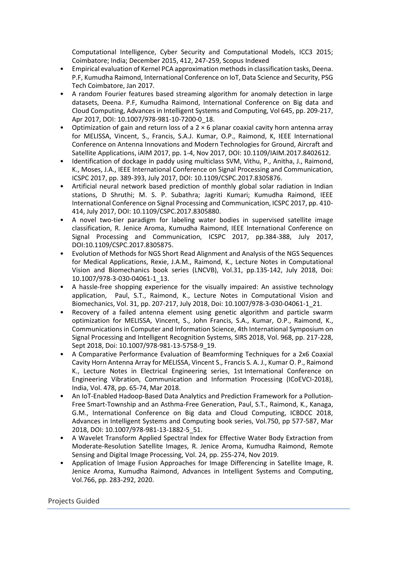Computational Intelligence, Cyber Security and Computational Models, ICC3 2015; Coimbatore; India; December 2015, 412, 247-259, Scopus Indexed

- Empirical evaluation of Kernel PCA approximation methods in classification tasks, Deena. P.F, Kumudha Raimond, International Conference on IoT, Data Science and Security, PSG Tech Coimbatore, Jan 2017.
- A random Fourier features based streaming algorithm for anomaly detection in large datasets, Deena. P.F, Kumudha Raimond, International Conference on Big data and Cloud Computing, Advances in Intelligent Systems and Computing, Vol 645, pp. 209-217, Apr 2017, DOI: 10.1007/978-981-10-7200-0\_18.
- Optimization of gain and return loss of a 2 × 6 planar coaxial cavity horn antenna array for MELISSA, Vincent, S., Francis, S.A.J. Kumar, O.P., Raimond, K, IEEE International Conference on Antenna Innovations and Modern Technologies for Ground, Aircraft and Satellite Applications, iAIM 2017, pp. 1-4, Nov 2017, DOI: 10.1109/IAIM.2017.8402612.
- Identification of dockage in paddy using multiclass SVM, Vithu, P., Anitha, J., Raimond, K., Moses, J.A., IEEE International Conference on Signal Processing and Communication, ICSPC 2017, pp. 389-393, July 2017, DOI: 10.1109/CSPC.2017.8305876.
- Artificial neural network based prediction of monthly global solar radiation in Indian stations, D Shruthi; M. S. P. Subathra; Jagriti Kumari; Kumudha Raimond, IEEE International Conference on Signal Processing and Communication, ICSPC 2017, pp. 410- 414, July 2017, DOI: 10.1109/CSPC.2017.8305880.
- A novel two-tier paradigm for labeling water bodies in supervised satellite image classification, R. Jenice Aroma, Kumudha Raimond, IEEE International Conference on Signal Processing and Communication, ICSPC 2017, pp.384-388, July 2017, DOI[:10.1109/CSPC.2017.8305875.](https://doi.org/10.1109/CSPC.2017.8305875)
- Evolution of Methods for NGS Short Read Alignment and Analysis of the NGS Sequences for Medical Applications, [Rexie, J.A.M.,](https://www.scopus.com/authid/detail.uri?authorId=57205482258&eid=2-s2.0-85060245859) [Raimond, K.,](https://www.scopus.com/authid/detail.uri?authorId=24776550700&eid=2-s2.0-85060245859) [Lecture Notes in Computational](https://link.springer.com/bookseries/8910)  [Vision and Biomechanics](https://link.springer.com/bookseries/8910) book series (LNCVB), Vol.31, pp.135-142, July 2018, Doi: 10.1007/978-3-030-04061-1\_13.
- [A hassle-free shopping experience for the visually impaired: An assistive technology](https://www.scopus.com/record/display.uri?eid=2-s2.0-85060207640&origin=resultslist#corrAuthorFooter)  [application,](https://www.scopus.com/record/display.uri?eid=2-s2.0-85060207640&origin=resultslist#corrAuthorFooter) [Paul, S.T.,](https://www.scopus.com/authid/detail.uri?authorId=57204726759&eid=2-s2.0-85060207640) [Raimond, K.,](https://www.scopus.com/authid/detail.uri?authorId=24776550700&eid=2-s2.0-85060207640) [Lecture Notes in Computational Vision and](https://www.scopus.com/sourceid/21100380994?origin=recordpage)  [Biomechanics,](https://www.scopus.com/sourceid/21100380994?origin=recordpage) Vol. 31, pp. 207-217, July 2018, Doi: 10.1007/978-3-030-04061-1\_21.
- Recovery of a failed antenna element using genetic algorithm and particle swarm optimization for MELISSA, [Vincent, S.,](https://www.scopus.com/authid/detail.uri?authorId=57192685919&eid=2-s2.0-85059932958) [John Francis, S.A.,](https://www.scopus.com/authid/detail.uri?authorId=34978755600&eid=2-s2.0-85059932958) [Kumar, O.P.,](https://www.scopus.com/authid/detail.uri?authorId=46161308500&eid=2-s2.0-85059932958) [Raimond, K.,](https://www.scopus.com/authid/detail.uri?authorId=24776550700&eid=2-s2.0-85059932958) [Communications in Computer and Information Science,](https://www.scopus.com/sourceid/17700155007?origin=recordpage) 4th International Symposium on Signal Processing and Intelligent Recognition Systems, SIRS 2018, Vol. 968, pp. 217-228, Sept 2018, Doi: 10.1007/978-981-13-5758-9\_19.
- A Comparative Performance Evaluation of Beamforming Techniques for a 2x6 Coaxial Cavity Horn Antenna Array for MELISSA, Vincent S., Francis S. A. J., Kumar O. P., Raimond K., Lecture Notes in Electrical Engineering series, 1st International Conference on Engineering Vibration, Communication and Information Processing (ICoEVCI-2018), India, Vol. 478, pp. 65-74, Mar 2018.
- An IoT-Enabled Hadoop-Based Data Analytics and Prediction Framework for a Pollution-Free Smart-Township and an Asthma-Free Generation, [Paul, S.T.,](https://www.scopus.com/authid/detail.uri?authorId=57204726759&eid=2-s2.0-85059070918) [Raimond, K.,](https://www.scopus.com/authid/detail.uri?authorId=24776550700&eid=2-s2.0-85059070918) [Kanaga,](https://www.scopus.com/authid/detail.uri?authorId=57201501239&eid=2-s2.0-85059070918)  [G.M.,](https://www.scopus.com/authid/detail.uri?authorId=57201501239&eid=2-s2.0-85059070918) International Conference on Big data and Cloud Computing, ICBDCC 2018, Advances in Intelligent Systems and Computing book series, Vol.750, pp 577-587, Mar 2018, DOI: 10.1007/978-981-13-1882-5\_51.
- A Wavelet Transform Applied Spectral Index for Effective Water Body Extraction from Moderate-Resolution Satellite Images, R. Jenice Aroma, Kumudha Raimond, [Remote](https://www.scopus.com/sourceid/21100469658?origin=recordpage)  [Sensing and Digital Image Processing,](https://www.scopus.com/sourceid/21100469658?origin=recordpage) Vol. 24, pp. 255-274, Nov 2019.
- [Application of Image Fusion Approaches for Image Differencing in Satellite Image,](https://www.scopus.com/record/display.uri?eid=2-s2.0-85079827581&origin=resultslist&sort=plf-f&src=s&st1=Raimond&st2=kumudha&nlo=1&nlr=20&nls=count-f&sid=65c7261309856f46279163a61e8ebfeb&sot=anl&sdt=aut&sl=37&s=AU-ID%28%22Raimond%2c+Kumudha%22+24776550700%29&relpos=1&citeCnt=0&searchTerm=) R. Jenice Aroma, Kumudha Raimond, [Advances in Intelligent Systems and Computing,](https://link.springer.com/bookseries/11156) Vol.766, pp. 283-292, 2020.

Projects Guided